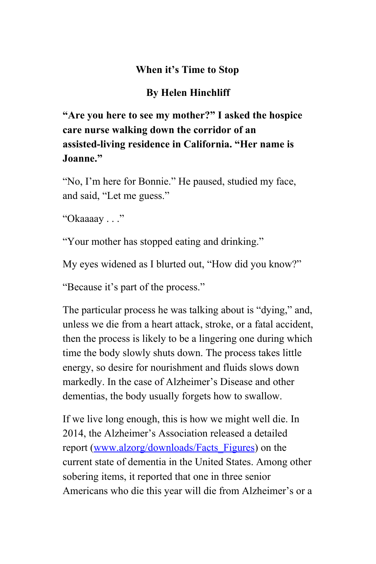## **When it's Time to Stop**

## **By Helen Hinchliff**

## **"Are you here to see my mother?" I asked the hospice care nurse walking down the corridor of an assistedliving residence in California. "Her name is Joanne."**

"No, I'm here for Bonnie." He paused, studied my face, and said, "Let me guess."

"Okaaaay . . ."

"Your mother has stopped eating and drinking."

My eyes widened as I blurted out, "How did you know?"

"Because it's part of the process."

The particular process he was talking about is "dying," and, unless we die from a heart attack, stroke, or a fatal accident, then the process is likely to be a lingering one during which time the body slowly shuts down. The process takes little energy, so desire for nourishment and fluids slows down markedly. In the case of Alzheimer's Disease and other dementias, the body usually forgets how to swallow.

If we live long enough, this is how we might well die. In 2014, the Alzheimer's Association released a detailed report [\(www.alzorg/downloads/Facts\\_Figures\)](http://www.alzorg/downloads/Facts_Figures) on the current state of dementia in the United States. Among other sobering items, it reported that one in three senior Americans who die this year will die from Alzheimer's or a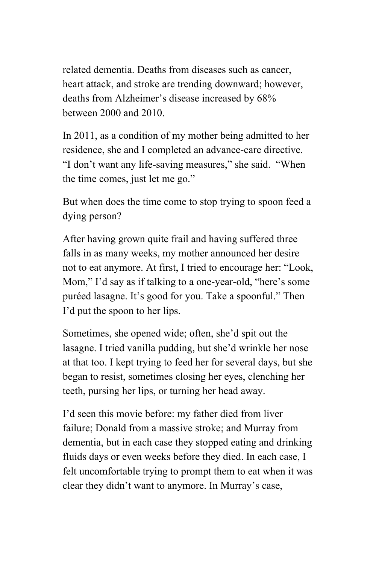related dementia. Deaths from diseases such as cancer, heart attack, and stroke are trending downward; however, deaths from Alzheimer's disease increased by 68% between 2000 and 2010.

In 2011, as a condition of my mother being admitted to her residence, she and I completed an advance-care directive. "I don't want any life-saving measures," she said. "When the time comes, just let me go."

But when does the time come to stop trying to spoon feed a dying person?

After having grown quite frail and having suffered three falls in as many weeks, my mother announced her desire not to eat anymore. At first, I tried to encourage her: "Look, Mom," I'd say as if talking to a one-year-old, "here's some puréed lasagne. It's good for you. Take a spoonful." Then I'd put the spoon to her lips.

Sometimes, she opened wide; often, she'd spit out the lasagne. I tried vanilla pudding, but she'd wrinkle her nose at that too. I kept trying to feed her for several days, but she began to resist, sometimes closing her eyes, clenching her teeth, pursing her lips, or turning her head away.

I'd seen this movie before: my father died from liver failure; Donald from a massive stroke; and Murray from dementia, but in each case they stopped eating and drinking fluids days or even weeks before they died. In each case, I felt uncomfortable trying to prompt them to eat when it was clear they didn't want to anymore. In Murray's case,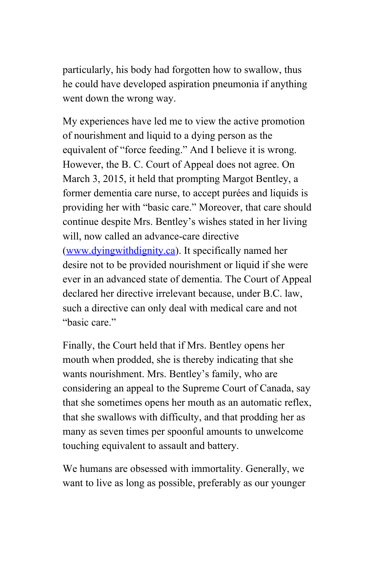particularly, his body had forgotten how to swallow, thus he could have developed aspiration pneumonia if anything went down the wrong way.

My experiences have led me to view the active promotion of nourishment and liquid to a dying person as the equivalent of "force feeding." And I believe it is wrong. However, the B. C. Court of Appeal does not agree. On March 3, 2015, it held that prompting Margot Bentley, a former dementia care nurse, to accept purées and liquids is providing her with "basic care." Moreover, that care should continue despite Mrs. Bentley's wishes stated in her living will, now called an advance-care directive ([www.dyingwithdignity.ca\)](http://www.dyingwithdignity.ca/). It specifically named her desire not to be provided nourishment or liquid if she were ever in an advanced state of dementia. The Court of Appeal declared her directive irrelevant because, under B.C. law, such a directive can only deal with medical care and not "basic care"

Finally, the Court held that if Mrs. Bentley opens her mouth when prodded, she is thereby indicating that she wants nourishment. Mrs. Bentley's family, who are considering an appeal to the Supreme Court of Canada, say that she sometimes opens her mouth as an automatic reflex, that she swallows with difficulty, and that prodding her as many as seven times per spoonful amounts to unwelcome touching equivalent to assault and battery.

We humans are obsessed with immortality. Generally, we want to live as long as possible, preferably as our younger